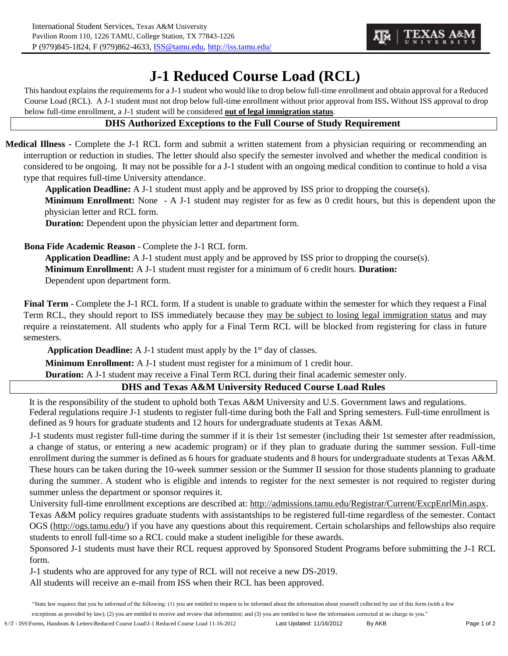## **J-1 Reduced Course Load (RCL)**

This handout explains the requirements for a J-1 student who would like to drop below full-time enrollment and obtain approval for a Reduced Course Load (RCL). A J-1 student must not drop below full-time enrollment without prior approval from ISS**.** Without ISS approval to drop below full-time enrollment, a J-1 student will be considered **out of legal immigration status**.

## **DHS Authorized Exceptions to the Full Course of Study Requirement**

**Medical Illness -** Complete the J-1 RCL form and submit a written statement from a physician requiring or recommending an interruption or reduction in studies. The letter should also specify the semester involved and whether the medical condition is considered to be ongoing. It may not be possible for a J-1 student with an ongoing medical condition to continue to hold a visa type that requires full-time University attendance.

**Application Deadline:** A J-1 student must apply and be approved by ISS prior to dropping the course(s).

**Minimum Enrollment:** None - A J-1 student may register for as few as 0 credit hours, but this is dependent upon the physician letter and RCL form.

**Duration:** Dependent upon the physician letter and department form.

**Bona Fide Academic Reason** - Complete the J-1 RCL form.

**Application Deadline:** A J-1 student must apply and be approved by ISS prior to dropping the course(s). **Minimum Enrollment:** A J-1 student must register for a minimum of 6 credit hours. **Duration:**  Dependent upon department form.

**Final Term** - Complete the J-1 RCL form. If a student is unable to graduate within the semester for which they request a Final Term RCL, they should report to ISS immediately because they may be subject to losing legal immigration status and may require a reinstatement. All students who apply for a Final Term RCL will be blocked from registering for class in future semesters.

Application Deadline: A J-1 student must apply by the 1<sup>st</sup> day of classes.

**Minimum Enrollment:** A J-1 student must register for a minimum of 1 credit hour.

**Duration:** A J-1 student may receive a Final Term RCL during their final academic semester only.

## **DHS and Texas A&M University Reduced Course Load Rules**

It is the responsibility of the student to uphold both Texas A&M University and U.S. Government laws and regulations. Federal regulations require J-1 students to register full-time during both the Fall and Spring semesters. Full-time enrollment is defined as 9 hours for graduate students and 12 hours for undergraduate students at Texas A&M.

J-1 students must register full-time during the summer if it is their 1st semester (including their 1st semester after readmission, a change of status, or entering a new academic program) or if they plan to graduate during the summer session. Full-time enrollment during the summer is defined as 6 hours for graduate students and 8 hours for undergraduate students at Texas A&M. These hours can be taken during the 10-week summer session or the Summer II session for those students planning to graduate during the summer. A student who is eligible and intends to register for the next semester is not required to register during summer unless the department or sponsor requires it.

University full-time enrollment exceptions are described at[:](http://admissions.tamu.edu/Registrar/Current/ExcpEnrlMin.aspx) [http://admissions.tamu.edu/Registrar/Current/ExcpEnrlMin.aspx.](http://admissions.tamu.edu/Registrar/Current/ExcpEnrlMin.aspx)

Texas A&M policy requires graduate students with assistantships to be registered full-time regardless of the semester. Contact OGS [\(http://ogs.tamu.edu/\) if](http://ogs.tamu.edu/)) you have any questions about this requirement. Certain scholarships and fellowships also require students to enroll full-time so a RCL could make a student ineligible for these awards.

Sponsored J-1 students must have their RCL request approved by Sponsored Student Programs before submitting the J-1 RCL form.

J-1 students who are approved for any type of RCL will not receive a new DS-2019.

All students will receive an e-mail from ISS when their RCL has been approved.